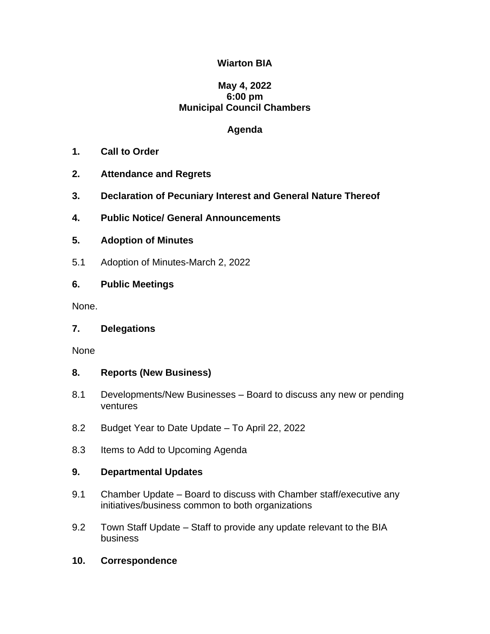# **Wiarton BIA**

# **May 4, 2022 6:00 pm Municipal Council Chambers**

# **Agenda**

- **1. Call to Order**
- **2. Attendance and Regrets**
- **3. Declaration of Pecuniary Interest and General Nature Thereof**
- **4. Public Notice/ General Announcements**

# **5. Adoption of Minutes**

5.1 Adoption of Minutes-March 2, 2022

# **6. Public Meetings**

None.

# **7. Delegations**

None

# **8. Reports (New Business)**

- 8.1 Developments/New Businesses Board to discuss any new or pending ventures
- 8.2 Budget Year to Date Update To April 22, 2022
- 8.3 Items to Add to Upcoming Agenda

# **9. Departmental Updates**

- 9.1 Chamber Update Board to discuss with Chamber staff/executive any initiatives/business common to both organizations
- 9.2 Town Staff Update Staff to provide any update relevant to the BIA business
- **10. Correspondence**